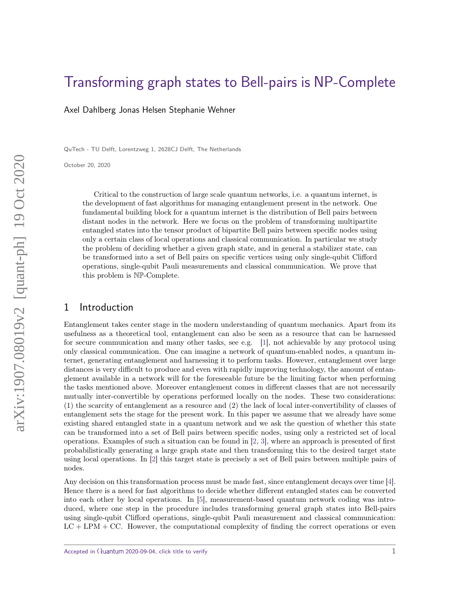# [Transforming graph states to Bell-pairs is NP-Complete](http://quantum-journal.org/?s=Transforming%20graph%20states%20to%20Bell-pairs%20is%20NP-Complete&reason=title-click)

Axel Dahlberg Jonas Helsen Stephanie Wehner

QuTech - TU Delft, Lorentzweg 1, 2628CJ Delft, The Netherlands

October 20, 2020

Critical to the construction of large scale quantum networks, i.e. a quantum internet, is the development of fast algorithms for managing entanglement present in the network. One fundamental building block for a quantum internet is the distribution of Bell pairs between distant nodes in the network. Here we focus on the problem of transforming multipartite entangled states into the tensor product of bipartite Bell pairs between specific nodes using only a certain class of local operations and classical communication. In particular we study the problem of deciding whether a given graph state, and in general a stabilizer state, can be transformed into a set of Bell pairs on specific vertices using only single-qubit Clifford operations, single-qubit Pauli measurements and classical communication. We prove that this problem is NP-Complete.

## 1 Introduction

Entanglement takes center stage in the modern understanding of quantum mechanics. Apart from its usefulness as a theoretical tool, entanglement can also be seen as a resource that can be harnessed for secure communication and many other tasks, see e.g. [\[1\]](#page-13-0), not achievable by any protocol using only classical communication. One can imagine a network of quantum-enabled nodes, a quantum internet, generating entanglement and harnessing it to perform tasks. However, entanglement over large distances is very difficult to produce and even with rapidly improving technology, the amount of entanglement available in a network will for the foreseeable future be the limiting factor when performing the tasks mentioned above. Moreover entanglement comes in different classes that are not necessarily mutually inter-convertible by operations performed locally on the nodes. These two considerations: (1) the scarcity of entanglement as a resource and (2) the lack of local inter-convertibility of classes of entanglement sets the stage for the present work. In this paper we assume that we already have some existing shared entangled state in a quantum network and we ask the question of whether this state can be transformed into a set of Bell pairs between specific nodes, using only a restricted set of local operations. Examples of such a situation can be found in [\[2,](#page-13-1) [3\]](#page-13-2), where an approach is presented of first probabilistically generating a large graph state and then transforming this to the desired target state using local operations. In [\[2\]](#page-13-1) this target state is precisely a set of Bell pairs between multiple pairs of nodes.

Any decision on this transformation process must be made fast, since entanglement decays over time [\[4\]](#page-13-3). Hence there is a need for fast algorithms to decide whether different entangled states can be converted into each other by local operations. In [\[5\]](#page-13-4), measurement-based quantum network coding was introduced, where one step in the procedure includes transforming general graph states into Bell-pairs using single-qubit Clifford operations, single-qubit Pauli measurement and classical communication:  $LC + LPM + CC$ . However, the computational complexity of finding the correct operations or even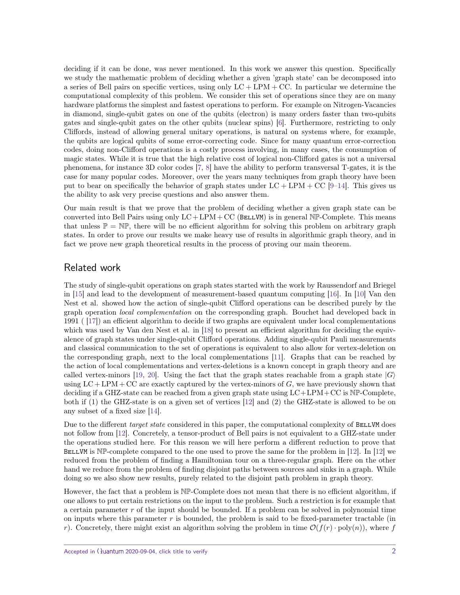deciding if it can be done, was never mentioned. In this work we answer this question. Specifically we study the mathematic problem of deciding whether a given 'graph state' can be decomposed into a series of Bell pairs on specific vertices, using only  $LC + LPM + CC$ . In particular we determine the computational complexity of this problem. We consider this set of operations since they are on many hardware platforms the simplest and fastest operations to perform. For example on Nitrogen-Vacancies in diamond, single-qubit gates on one of the qubits (electron) is many orders faster than two-qubits gates and single-qubit gates on the other qubits (nuclear spins) [\[6\]](#page-14-0). Furthermore, restricting to only Cliffords, instead of allowing general unitary operations, is natural on systems where, for example, the qubits are logical qubits of some error-correcting code. Since for many quantum error-correction codes, doing non-Clifford operations is a costly process involving, in many cases, the consumption of magic states. While it is true that the high relative cost of logical non-Clifford gates is not a universal phenomena, for instance 3D color codes [\[7,](#page-14-1) [8\]](#page-14-2) have the ability to perform transversal T-gates, it is the case for many popular codes. Moreover, over the years many techniques from graph theory have been put to bear on specifically the behavior of graph states under  $LC + LPM + CC$  [\[9](#page-14-3)[–14\]](#page-14-4). This gives us the ability to ask very precise questions and also answer them.

Our main result is that we prove that the problem of deciding whether a given graph state can be converted into Bell Pairs using only  $LC + LPM + CC$  (BELLVM) is in general NP-Complete. This means that unless  $\mathbb{P} = \mathbb{NP}$ , there will be no efficient algorithm for solving this problem on arbitrary graph states. In order to prove our results we make heavy use of results in algorithmic graph theory, and in fact we prove new graph theoretical results in the process of proving our main theorem.

## Related work

The study of single-qubit operations on graph states started with the work by Raussendorf and Briegel in [\[15\]](#page-14-5) and lead to the development of measurement-based quantum computing [\[16\]](#page-14-6). In [\[10\]](#page-14-7) Van den Nest et al. showed how the action of single-qubit Clifford operations can be described purely by the graph operation local complementation on the corresponding graph. Bouchet had developed back in 1991 ( [\[17\]](#page-14-8)) an efficient algorithm to decide if two graphs are equivalent under local complementations which was used by Van den Nest et al. in [\[18\]](#page-14-9) to present an efficient algorithm for deciding the equivalence of graph states under single-qubit Clifford operations. Adding single-qubit Pauli measurements and classical communication to the set of operations is equivalent to also allow for vertex-deletion on the corresponding graph, next to the local complementations [\[11\]](#page-14-10). Graphs that can be reached by the action of local complementations and vertex-deletions is a known concept in graph theory and are called vertex-minors [\[19,](#page-14-11) [20\]](#page-14-12). Using the fact that the graph states reachable from a graph state  $|G\rangle$ using  $LC + LPM + CC$  are exactly captured by the vertex-minors of  $G$ , we have previously shown that deciding if a GHZ-state can be reached from a given graph state using  $LC+LPM+CC$  is  $NP-Complete$ , both if (1) the GHZ-state is on a given set of vertices [\[12\]](#page-14-13) and (2) the GHZ-state is allowed to be on any subset of a fixed size [\[14\]](#page-14-4).

Due to the different target state considered in this paper, the computational complexity of BELLVM does not follow from [\[12\]](#page-14-13). Concretely, a tensor-product of Bell pairs is not equivalent to a GHZ-state under the operations studied here. For this reason we will here perform a different reduction to prove that BELLVM is  $N\mathbb{P}$ -complete compared to the one used to prove the same for the problem in [\[12\]](#page-14-13). In [12] we reduced from the problem of finding a Hamiltonian tour on a three-regular graph. Here on the other hand we reduce from the problem of finding disjoint paths between sources and sinks in a graph. While doing so we also show new results, purely related to the disjoint path problem in graph theory.

However, the fact that a problem is NP-Complete does not mean that there is no efficient algorithm, if one allows to put certain restrictions on the input to the problem. Such a restriction is for example that a certain parameter *r* of the input should be bounded. If a problem can be solved in polynomial time on inputs where this parameter *r* is bounded, the problem is said to be fixed-parameter tractable (in *r*). Concretely, there might exist an algorithm solving the problem in time  $\mathcal{O}(f(r) \cdot \text{poly}(n))$ , where f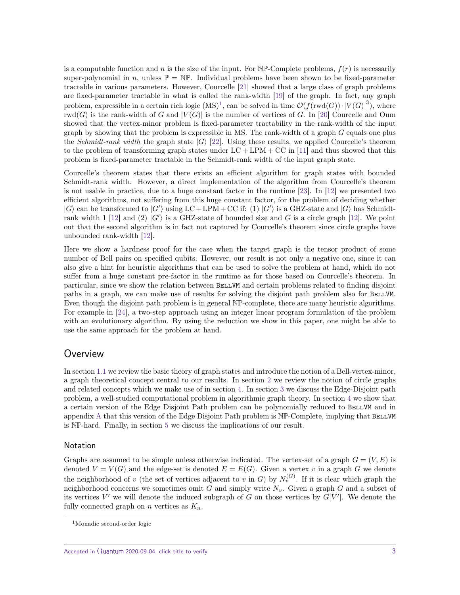is a computable function and *n* is the size of the input. For  $N\mathbb{P}$ -Complete problems,  $f(r)$  is necessarily super-polynomial in *n*, unless  $\mathbb{P} = \mathbb{NP}$ . Individual problems have been shown to be fixed-parameter tractable in various parameters. However, Courcelle [\[21\]](#page-14-14) showed that a large class of graph problems are fixed-parameter tractable in what is called the rank-width [\[19\]](#page-14-11) of the graph. In fact, any graph problem, expressible in a certain rich logic  $(MS)^1$  $(MS)^1$ , can be solved in time  $\mathcal{O}(f(\text{rwd}(G)) \cdot |V(G)|^3)$ , where  $rwd(G)$  is the rank-width of *G* and  $|V(G)|$  is the number of vertices of *G*. In [\[20\]](#page-14-12) Courcelle and Oum showed that the vertex-minor problem is fixed-parameter tractability in the rank-width of the input graph by showing that the problem is expressible in MS. The rank-width of a graph *G* equals one plus the *Schmidt-rank width* the graph state  $|G\rangle$  [\[22\]](#page-14-15). Using these results, we applied Courcelle's theorem to the problem of transforming graph states under  $LC + LPM + CC$  in [\[11\]](#page-14-10) and thus showed that this problem is fixed-parameter tractable in the Schmidt-rank width of the input graph state.

Courcelle's theorem states that there exists an efficient algorithm for graph states with bounded Schmidt-rank width. However, a direct implementation of the algorithm from Courcelle's theorem is not usable in practice, due to a huge constant factor in the runtime [\[23\]](#page-15-0). In [\[12\]](#page-14-13) we presented two efficient algorithms, not suffering from this huge constant factor, for the problem of deciding whether  $|G\rangle$  can be transformed to  $|G'\rangle$  using LC + LPM + CC if: (1)  $|G'\rangle$  is a GHZ-state and  $|G\rangle$  has Schmidt-rank width 1 [\[12\]](#page-14-13) and (2)  $|G'\rangle$  is a GHZ-state of bounded size and G is a circle graph [12]. We point out that the second algorithm is in fact not captured by Courcelle's theorem since circle graphs have unbounded rank-width [\[12\]](#page-14-13).

Here we show a hardness proof for the case when the target graph is the tensor product of some number of Bell pairs on specified qubits. However, our result is not only a negative one, since it can also give a hint for heuristic algorithms that can be used to solve the problem at hand, which do not suffer from a huge constant pre-factor in the runtime as for those based on Courcelle's theorem. In particular, since we show the relation between BELLVM and certain problems related to finding disjoint paths in a graph, we can make use of results for solving the disjoint path problem also for BELLVM. Even though the disjoint path problem is in general NP-complete, there are many heuristic algorithms. For example in [\[24\]](#page-15-1), a two-step approach using an integer linear program formulation of the problem with an evolutionary algorithm. By using the reduction we show in this paper, one might be able to use the same approach for the problem at hand.

## **Overview**

In section [1.1](#page-3-0) we review the basic theory of graph states and introduce the notion of a Bell-vertex-minor, a graph theoretical concept central to our results. In section [2](#page-5-0) we review the notion of circle graphs and related concepts which we make use of in section [4.](#page-9-0) In section [3](#page-7-0) we discuss the Edge-Disjoint path problem, a well-studied computational problem in algorithmic graph theory. In section [4](#page-9-0) we show that a certain version of the Edge Disjoint Path problem can be polynomially reduced to BELLVM and in appendix [A](#page-16-0) that this version of the Edge Disjoint Path problem is  $N\mathbb{P}$ -Complete, implying that BELLVM is NP-hard. Finally, in section [5](#page-13-5) we discuss the implications of our result.

### **Notation**

Graphs are assumed to be simple unless otherwise indicated. The vertex-set of a graph  $G = (V, E)$  is denoted  $V = V(G)$  and the edge-set is denoted  $E = E(G)$ . Given a vertex v in a graph G we denote the neighborhood of *v* (the set of vertices adjacent to *v* in *G*) by  $N_v^{(G)}$ . If it is clear which graph the neighborhood concerns we sometimes omit *G* and simply write  $N_v$ . Given a graph *G* and a subset of its vertices  $V'$  we will denote the induced subgraph of *G* on those vertices by  $G[V']$ . We denote the fully connected graph on *n* vertices as  $K_n$ .

<span id="page-2-0"></span><sup>1</sup>Monadic second-order logic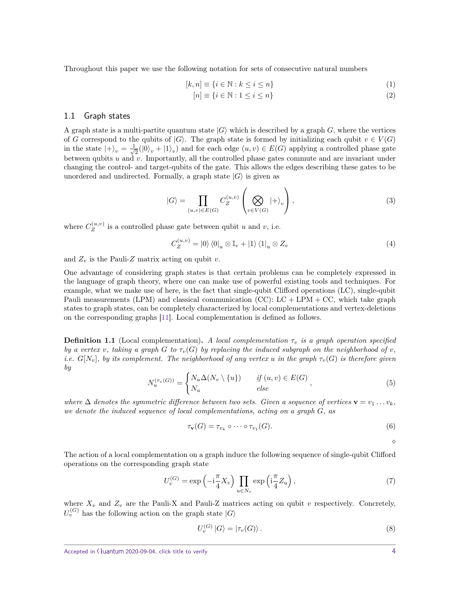Throughout this paper we use the following notation for sets of consecutive natural numbers

$$
[k, n] \equiv \{ i \in \mathbb{N} : k \le i \le n \}
$$
\n<sup>(1)</sup>

$$
[n] \equiv \{ i \in \mathbb{N} : 1 \le i \le n \}
$$
\n
$$
(2)
$$

### <span id="page-3-0"></span>1.1 Graph states

A graph state is a multi-partite quantum state  $|G\rangle$  which is described by a graph G, where the vertices of *G* correspond to the qubits of  $|G\rangle$ . The graph state is formed by initializing each qubit  $v \in V(G)$ in the state  $|+\rangle_v = \frac{1}{\sqrt{2}}$  $\frac{1}{2}(|0\rangle_v + |1\rangle_v)$  and for each edge  $(u, v) \in E(G)$  applying a controlled phase gate between qubits *u* and *v*. Importantly, all the controlled phase gates commute and are invariant under changing the control- and target-qubits of the gate. This allows the edges describing these gates to be unordered and undirected. Formally, a graph state  $|G\rangle$  is given as

$$
|G\rangle = \prod_{(u,v)\in E(G)} C_Z^{(u,v)} \left(\bigotimes_{v\in V(G)} |+\rangle_v\right),\tag{3}
$$

where  $C_Z^{(u,v)}$  $Z^{(u,v)}$  is a controlled phase gate between qubit *u* and *v*, i.e.

$$
C_Z^{(u,v)} = |0\rangle \langle 0|_u \otimes \mathbb{I}_v + |1\rangle \langle 1|_u \otimes Z_v
$$
\n(4)

and  $Z_v$  is the Pauli-Z matrix acting on qubit  $v$ .

One advantage of considering graph states is that certain problems can be completely expressed in the language of graph theory, where one can make use of powerful existing tools and techniques. For example, what we make use of here, is the fact that single-qubit Clifford operations (LC), single-qubit Pauli measurements (LPM) and classical communication (CC):  $LC + LPM + CC$ , which take graph states to graph states, can be completely characterized by local complementations and vertex-deletions on the corresponding graphs [\[11\]](#page-14-10). Local complementation is defined as follows.

**Definition 1.1** (Local complementation). A local complementation  $\tau_v$  is a graph operation specified *by a vertex v*, taking a graph *G* to  $\tau_v(G)$  *by replacing the induced subgraph on the neighborhood of v*, *i.e.*  $G[N_v]$ , by its complement. The neighborhood of any vertex *u* in the graph  $\tau_v(G)$  is therefore given *by*

$$
N_u^{(\tau_v(G))} = \begin{cases} N_u \Delta(N_v \setminus \{u\}) & \text{if } (u, v) \in E(G) \\ N_u & \text{else} \end{cases}, \tag{5}
$$

*where*  $\Delta$  *denotes the symmetric difference between two sets. Given a sequence of vertices*  $\mathbf{v} = v_1 \dots v_k$ , *we denote the induced sequence of local complementations, acting on a graph G, as*

$$
\tau_{\mathbf{v}}(G) = \tau_{v_k} \circ \cdots \circ \tau_{v_1}(G). \tag{6}
$$

 $\Diamond$ 

The action of a local complementation on a graph induce the following sequence of single-qubit Clifford operations on the corresponding graph state

$$
U_v^{(G)} = \exp\left(-i\frac{\pi}{4}X_v\right) \prod_{u \in N_v} \exp\left(i\frac{\pi}{4}Z_u\right),\tag{7}
$$

where  $X_v$  and  $Z_v$  are the Pauli-X and Pauli-Z matrices acting on qubit *v* respectively. Concretely,  $U_v^{(G)}$  has the following action on the graph state  $|G\rangle$ 

$$
U_v^{(G)} |G\rangle = |\tau_v(G)\rangle. \tag{8}
$$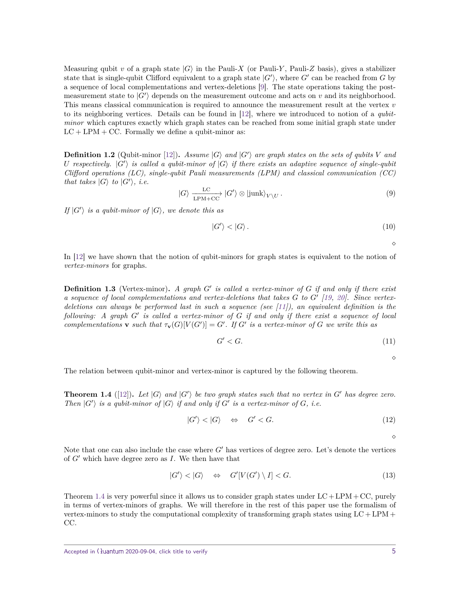Measuring qubit *v* of a graph state  $|G\rangle$  in the Pauli-*X* (or Pauli-*Y*, Pauli-*Z* basis), gives a stabilizer state that is single-qubit Clifford equivalent to a graph state  $|G'\rangle$ , where  $G'$  can be reached from  $G$  by a sequence of local complementations and vertex-deletions [\[9\]](#page-14-3). The state operations taking the postmeasurement state to  $|G'\rangle$  depends on the measurement outcome and acts on  $v$  and its neighborhood. This means classical communication is required to announce the measurement result at the vertex *v* to its neighboring vertices. Details can be found in  $[12]$ , where we introduced to notion of a *qubit*minor which captures exactly which graph states can be reached from some initial graph state under  $LC + LPM + CC$ . Formally we define a qubit-minor as:

**Definition 1.2** (Qubit-minor [\[12\]](#page-14-13)). Assume  $|G\rangle$  and  $|G'\rangle$  are graph states on the sets of qubits V and *U* respectively.  $|G'\rangle$  is called a qubit-minor of  $|G\rangle$  if there exists an adaptive sequence of single-qubit *Clifford operations (LC), single-qubit Pauli measurements (LPM) and classical communication (CC) that takes*  $|G\rangle$  *to*  $|G'\rangle$ *, i.e.* 

$$
|G\rangle \frac{LC}{LPM+CC} |G'\rangle \otimes |junk\rangle_{V\setminus U}.
$$
 (9)

*If*  $|G' \rangle$  *is a qubit-minor of*  $|G \rangle$ *, we denote this as* 

$$
|G'\rangle < |G\rangle. \tag{10}
$$

 $\Diamond$ 

In [\[12\]](#page-14-13) we have shown that the notion of qubit-minors for graph states is equivalent to the notion of vertex-minors for graphs.

**Definition 1.3** (Vertex-minor)**.** *A graph G*<sup>0</sup> *is called a vertex-minor of G if and only if there exist a sequence of local complementations and vertex-deletions that takes G to G*<sup>0</sup> *[\[19,](#page-14-11) [20\]](#page-14-12). Since vertexdeletions can always be performed last in such a sequence (see [\[11\]](#page-14-10)), an equivalent definition is the following: A graph G*<sup>0</sup> *is called a vertex-minor of G if and only if there exist a sequence of local complementations* **v** *such that*  $\tau_v(G)[V(G')] = G'$ *. If*  $G'$  *is a vertex-minor of*  $G$  *we write this as* 

$$
G' < G. \tag{11}
$$

 $\Diamond$ 

The relation between qubit-minor and vertex-minor is captured by the following theorem.

<span id="page-4-0"></span>**Theorem 1.4** ([\[12\]](#page-14-13)). Let  $|G\rangle$  and  $|G'\rangle$  be two graph states such that no vertex in  $G'$  has degree zero. *Then*  $|G' \rangle$  *is a qubit-minor of*  $|G \rangle$  *if and only if*  $G'$  *is a vertex-minor of*  $G$ *, i.e.* 

$$
|G'\rangle < |G\rangle \quad \Leftrightarrow \quad G' < G. \tag{12}
$$

 $\Diamond$ 

Note that one can also include the case where  $G'$  has vertices of degree zero. Let's denote the vertices of  $G'$  which have degree zero as  $I$ . We then have that

$$
|G'\rangle < |G\rangle \quad \Leftrightarrow \quad G'[V(G') \setminus I] < G. \tag{13}
$$

Theorem [1.4](#page-4-0) is very powerful since it allows us to consider graph states under  $LC + LPM + CC$ , purely in terms of vertex-minors of graphs. We will therefore in the rest of this paper use the formalism of vertex-minors to study the computational complexity of transforming graph states using  $LC + LPM +$ CC.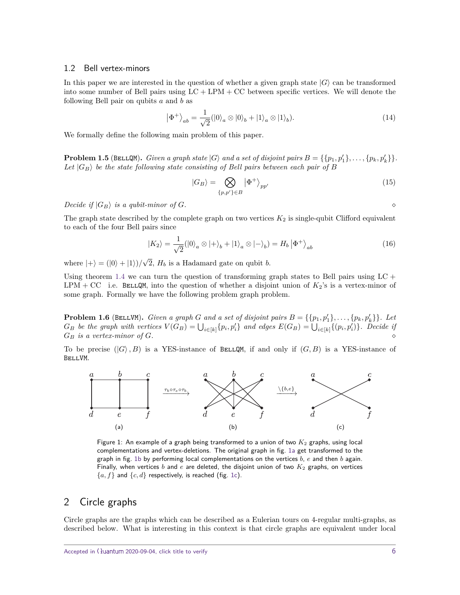### 1.2 Bell vertex-minors

In this paper we are interested in the question of whether a given graph state  $|G\rangle$  can be transformed into some number of Bell pairs using  $LC + LPM + CC$  between specific vertices. We will denote the following Bell pair on qubits *a* and *b* as

$$
|\Phi^{+}\rangle_{ab} = \frac{1}{\sqrt{2}} (|0\rangle_{a} \otimes |0\rangle_{b} + |1\rangle_{a} \otimes |1\rangle_{b}).
$$
\n(14)

We formally define the following main problem of this paper.

**Problem 1.5** (BELLQM). *Given a graph state*  $|G\rangle$  *and a set of disjoint pairs*  $B = \{\{p_1, p'_1\}, \ldots, \{p_k, p'_k\}\}.$ Let  $|G_B\rangle$  be the state following state consisting of Bell pairs between each pair of B

$$
|G_B\rangle = \bigotimes_{\{p,p'\}\in B} |\Phi^+\rangle_{pp'} \tag{15}
$$

 $Decide$  *if*  $|G_B\rangle$  *is a qubit-minor of G*.

The graph state described by the complete graph on two vertices  $K_2$  is single-qubit Clifford equivalent to each of the four Bell pairs since

$$
|K_2\rangle = \frac{1}{\sqrt{2}} (|0\rangle_a \otimes |+\rangle_b + |1\rangle_a \otimes |-\rangle_b) = H_b | \Phi^+ \rangle_{ab}
$$
 (16)

where  $|+\rangle = (|0\rangle + |1\rangle)/$ √ 2, *H<sup>b</sup>* is a Hadamard gate on qubit *b*.

Using theorem [1.4](#page-4-0) we can turn the question of transforming graph states to Bell pairs using  $LC +$ LPM + CC i.e. BELLQM, into the question of whether a disjoint union of  $K_2$ 's is a vertex-minor of some graph. Formally we have the following problem graph problem.

**Problem 1.6** (BELLVM). *Given a graph G and a set of disjoint pairs*  $B = \{\{p_1, p'_1\}, \ldots, \{p_k, p'_k\}\}\$ . Let  $G_B$  be the graph with vertices  $V(G_B) = \bigcup_{i \in [k]} \{p_i, p'_i\}$  and edges  $E(G_B) = \bigcup_{i \in [k]} \{(p_i, p'_i)\}.$  Decide if  $G_B$  *is a vertex-minor of G*.

<span id="page-5-1"></span>To be precise  $(|G\rangle, B)$  is a YES-instance of BELLQM, if and only if  $(G, B)$  is a YES-instance of BellVM.



Figure 1: An example of a graph being transformed to a union of two  $K_2$  graphs, using local complementations and vertex-deletions. The original graph in fig. [1a](#page-5-1) get transformed to the graph in fig. [1b](#page-5-1) by performing local complementations on the vertices *b*, *e* and then *b* again. Finally, when vertices  $b$  and  $e$  are deleted, the disjoint union of two  $K_2$  graphs, on vertices  ${a, f}$  and  ${c, d}$  respectively, is reached (fig. [1c\)](#page-5-1).

## <span id="page-5-0"></span>2 Circle graphs

Circle graphs are the graphs which can be described as a Eulerian tours on 4-regular multi-graphs, as described below. What is interesting in this context is that circle graphs are equivalent under local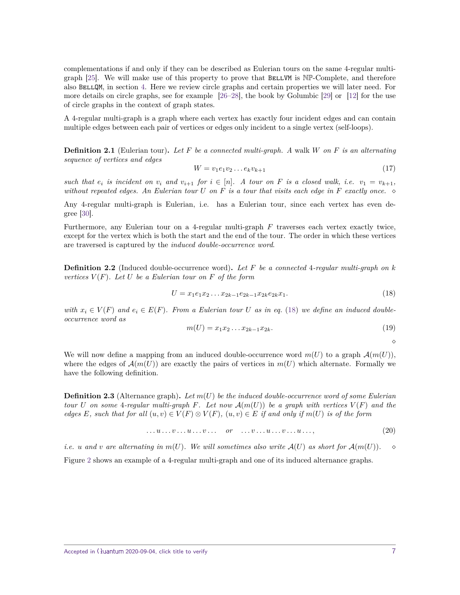complementations if and only if they can be described as Eulerian tours on the same 4-regular multigraph  $[25]$ . We will make use of this property to prove that BELLVM is  $N\mathbb{P}$ -Complete, and therefore also BellQM, in section [4.](#page-9-0) Here we review circle graphs and certain properties we will later need. For more details on circle graphs, see for example [\[26–](#page-15-3)[28\]](#page-15-4), the book by Golumbic [\[29\]](#page-15-5) or [\[12\]](#page-14-13) for the use of circle graphs in the context of graph states.

A 4-regular multi-graph is a graph where each vertex has exactly four incident edges and can contain multiple edges between each pair of vertices or edges only incident to a single vertex (self-loops).

**Definition 2.1** (Eulerian tour)**.** *Let F be a connected multi-graph. A* walk *W on F is an alternating sequence of vertices and edges*

$$
W = v_1 e_1 v_2 \dots e_k v_{k+1} \tag{17}
$$

such that  $e_i$  is incident on  $v_i$  and  $v_{i+1}$  for  $i \in [n]$ . A tour on F is a closed walk, i.e.  $v_1 = v_{k+1}$ , *without repeated edges. An Eulerian tour U on F is a tour that visits each edge in F exactly once.*

Any 4-regular multi-graph is Eulerian, i.e. has a Eulerian tour, since each vertex has even degree [\[30\]](#page-15-6).

Furthermore, any Eulerian tour on a 4-regular multi-graph *F* traverses each vertex exactly twice, except for the vertex which is both the start and the end of the tour. The order in which these vertices are traversed is captured by the induced double-occurrence word.

**Definition 2.2** (Induced double-occurrence word)**.** *Let F be a connected* 4*-regular multi-graph on k vertices*  $V(F)$ *. Let*  $U$  *be a Eulerian tour on*  $F$  *of the form* 

<span id="page-6-0"></span>
$$
U = x_1 e_1 x_2 \dots x_{2k-1} e_{2k-1} x_{2k} e_{2k} x_1. \tag{18}
$$

*with*  $x_i \in V(F)$  and  $e_i \in E(F)$ . From a Eulerian tour U as in eq. [\(18\)](#page-6-0) we define an induced double*occurrence word as*

$$
m(U) = x_1 x_2 \dots x_{2k-1} x_{2k}.
$$
\n(19)

 $\Diamond$ 

We will now define a mapping from an induced double-occurrence word  $m(U)$  to a graph  $\mathcal{A}(m(U))$ , where the edges of  $\mathcal{A}(m(U))$  are exactly the pairs of vertices in  $m(U)$  which alternate. Formally we have the following definition.

**Definition 2.3** (Alternance graph)**.** *Let m*(*U*) *be the induced double-occurrence word of some Eulerian tour*  $U$  *on some* 4*-regular multi-graph*  $F$ *. Let now*  $\mathcal{A}(m(U))$  *be a graph with vertices*  $V(F)$  *and the edges*  $E$ *, such that for all*  $(u, v) \in V(F) \otimes V(F)$ *,*  $(u, v) \in E$  *if and only if*  $m(U)$  *is of the form* 

$$
\dots u \dots v \dots u \dots v \dots \quad \text{or} \quad \dots v \dots u \dots v \dots u \dots,
$$
\n
$$
(20)
$$

*i.e. u* and *v* are alternating in  $m(U)$ . We will sometimes also write  $A(U)$  as short for  $A(m(U))$ . Figure [2](#page-7-1) shows an example of a 4-regular multi-graph and one of its induced alternance graphs.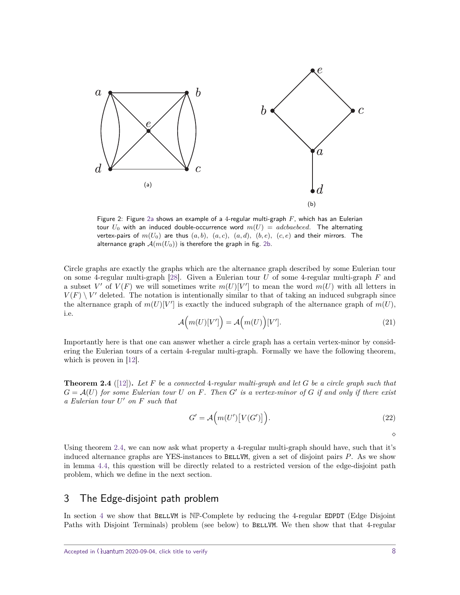<span id="page-7-1"></span>

Figure 2: Figure [2a](#page-7-1) shows an example of a 4-regular multi-graph *F*, which has an Eulerian tour  $U_0$  with an induced double-occurrence word  $m(U) = adcbaebeed$ . The alternating vertex-pairs of  $m(U_0)$  are thus  $(a, b)$ *,*  $(a, c)$ *,*  $(a, d)$ *,*  $(b, e)$ *,*  $(c, e)$  and their mirrors. The alternance graph  $A(m(U_0))$  is therefore the graph in fig. [2b.](#page-7-1)

Circle graphs are exactly the graphs which are the alternance graph described by some Eulerian tour on some 4-regular multi-graph [\[28\]](#page-15-4). Given a Eulerian tour *U* of some 4-regular multi-graph *F* and a subset V' of  $V(F)$  we will sometimes write  $m(U)[V']$  to mean the word  $m(U)$  with all letters in  $V(F) \setminus V'$  deleted. The notation is intentionally similar to that of taking an induced subgraph since the alternance graph of  $m(U)[V']$  is exactly the induced subgraph of the alternance graph of  $m(U)$ , i.e.

<span id="page-7-3"></span>
$$
\mathcal{A}\Big(m(U)[V']\Big) = \mathcal{A}\Big(m(U)\Big)[V'].\tag{21}
$$

Importantly here is that one can answer whether a circle graph has a certain vertex-minor by considering the Eulerian tours of a certain 4-regular multi-graph. Formally we have the following theorem, which is proven in [\[12\]](#page-14-13).

<span id="page-7-2"></span>**Theorem 2.4** ([\[12\]](#page-14-13))**.** *Let F be a connected* 4*-regular multi-graph and let G be a circle graph such that*  $G = \mathcal{A}(U)$  for some Eulerian tour U on F. Then  $G'$  is a vertex-minor of G if and only if there exist *a Eulerian tour U* <sup>0</sup> *on F such that*

$$
G' = \mathcal{A}\Big(m(U')\big[V(G')\big]\Big). \tag{22}
$$

 $\Diamond$ 

Using theorem [2.4,](#page-7-2) we can now ask what property a 4-regular multi-graph should have, such that it's induced alternance graphs are YES-instances to BELLVM, given a set of disjoint pairs P. As we show in lemma [4.4,](#page-10-0) this question will be directly related to a restricted version of the edge-disjoint path problem, which we define in the next section.

## <span id="page-7-0"></span>3 The Edge-disjoint path problem

In section [4](#page-9-0) we show that BELLVM is NP-Complete by reducing the 4-regular EDPDT (Edge Disjoint Paths with Disjoint Terminals) problem (see below) to BELLVM. We then show that that 4-regular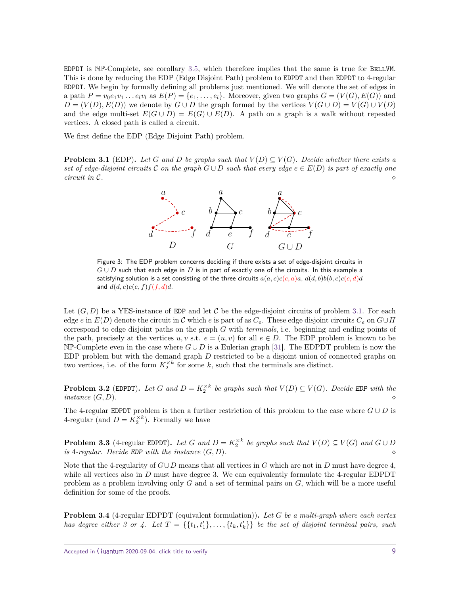EDPDT is  $N\mathbb{P}$ -Complete, see corollary [3.5,](#page-9-1) which therefore implies that the same is true for BELLVM. This is done by reducing the EDP (Edge Disjoint Path) problem to EDPDT and then EDPDT to 4-regular EDPDT. We begin by formally defining all problems just mentioned. We will denote the set of edges in a path  $P = v_0 e_1 v_1 \dots e_l v_l$  as  $E(P) = \{e_1, \dots, e_l\}$ . Moreover, given two graphs  $G = (V(G), E(G))$  and  $D = (V(D), E(D))$  we denote by  $G \cup D$  the graph formed by the vertices  $V(G \cup D) = V(G) \cup V(D)$ and the edge multi-set  $E(G \cup D) = E(G) \cup E(D)$ . A path on a graph is a walk without repeated vertices. A closed path is called a circuit.

We first define the EDP (Edge Disjoint Path) problem.

<span id="page-8-0"></span>**Problem 3.1** (EDP). Let G and D be graphs such that  $V(D) \subseteq V(G)$ . Decide whether there exists a *set of edge-disjoint circuits*  $\mathcal{C}$  *on the graph*  $G \cup D$  *such that every edge*  $e \in E(D)$  *is part of exactly one circuit in* C*.*



Figure 3: The EDP problem concerns deciding if there exists a set of edge-disjoint circuits in *G* ∪ *D* such that each edge in *D* is in part of exactly one of the circuits. In this example a satisfying solution is a set consisting of the three circuits  $a(a, c)c(c, a)a$ ,  $d(d, b)b(b, c)c(c, d)d$ and  $d(d, e)e(e, f)f(f, d)d$ .

Let  $(G, D)$  be a YES-instance of EDP and let C be the edge-disjoint circuits of problem [3.1.](#page-8-0) For each edge *e* in  $E(D)$  denote the circuit in C which *e* is part of as  $C_e$ . These edge disjoint circuits  $C_e$  on  $G \cup H$ correspond to edge disjoint paths on the graph *G* with terminals, i.e. beginning and ending points of the path, precisely at the vertices  $u, v$  s.t.  $e = (u, v)$  for all  $e \in D$ . The EDP problem is known to be NP-Complete even in the case where *G* ∪ *D* is a Eulerian graph [\[31\]](#page-15-7). The EDPDT problem is now the EDP problem but with the demand graph *D* restricted to be a disjoint union of connected graphs on two vertices, i.e. of the form  $K_2^{\times k}$  for some *k*, such that the terminals are distinct.

**Problem 3.2** (EDPDT). Let *G* and  $D = K_2^{\times k}$  be graphs such that  $V(D) \subseteq V(G)$ . Decide EDP with the  $\phi$  *instance*  $(G, D)$ *.* 

The 4-regular EDPDT problem is then a further restriction of this problem to the case where  $G \cup D$  is 4-regular (and  $D = K_2^{\times k}$ ). Formally we have

**Problem 3.3** (4-regular EDPDT). Let *G* and  $D = K_2^{\times k}$  be graphs such that  $V(D) \subseteq V(G)$  and  $G \cup D$ *is* 4*-regular. Decide* EDP *with the instance* (*G, D*)*.*

Note that the 4-regularity of  $G \cup D$  means that all vertices in *G* which are not in *D* must have degree 4, while all vertices also in *D* must have degree 3. We can equivalently formulate the 4-regular EDPDT problem as a problem involving only *G* and a set of terminal pairs on *G*, which will be a more useful definition for some of the proofs.

<span id="page-8-1"></span>**Problem 3.4** (4-regular EDPDT (equivalent formulation))**.** *Let G be a multi-graph where each vertex has degree either 3 or 4. Let*  $T = \{\{t_1, t'_1\}, \ldots, \{t_k, t'_k\}\}\$  *be the set of disjoint terminal pairs, such*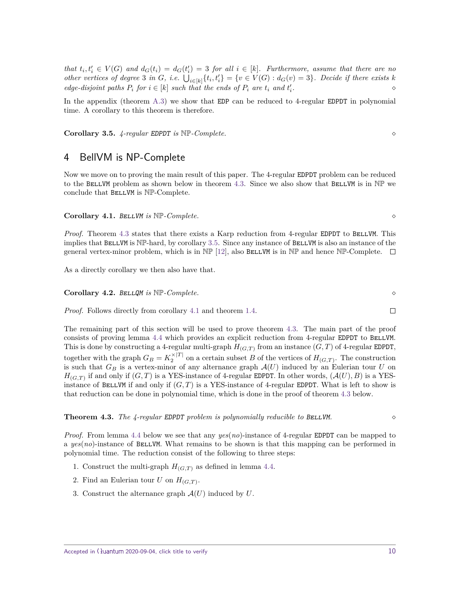that  $t_i, t'_i \in V(G)$  and  $d_G(t_i) = d_G(t'_i) = 3$  for all  $i \in [k]$ . Furthermore, assume that there are no other vertices of degree 3 in G, i.e.  $\bigcup_{i\in[k]} \{t_i,t'_i\} = \{v \in V(G): d_G(v) = 3\}$ . Decide if there exists k *edge-disjoint paths*  $P_i$  *for*  $i \in [k]$  *such that the ends of*  $P_i$  *are*  $t_i$  *and*  $t'_i$ *.*

In the appendix (theorem [A.3\)](#page-19-0) we show that EDP can be reduced to 4-regular EDPDT in polynomial time. A corollary to this theorem is therefore.

<span id="page-9-1"></span>**Corollary 3.5.** *4-regular* EDPDT *is* NP*-Complete.*

## <span id="page-9-0"></span>4 BellVM is NP-Complete

Now we move on to proving the main result of this paper. The 4-regular EDPDT problem can be reduced to the BELLVM problem as shown below in theorem [4.3.](#page-9-2) Since we also show that BELLVM is in  $N\mathbb{P}$  we conclude that BellVM is NP-Complete.

<span id="page-9-3"></span>**Corollary 4.1.** BELLVM is  $NP$ -Complete.

*Proof.* Theorem [4.3](#page-9-2) states that there exists a Karp reduction from 4-regular EDPDT to BELLVM. This implies that BELLVM is NP-hard, by corollary [3.5.](#page-9-1) Since any instance of BELLVM is also an instance of the general vertex-minor problem, which is in  $N\mathbb{P}$  [\[12\]](#page-14-13), also BELLVM is in  $N\mathbb{P}$  and hence NP-Complete.  $\square$ 

As a directly corollary we then also have that.

#### **Corollary 4.2.** BellQM *is* NP*-Complete.*

*Proof.* Follows directly from corollary [4.1](#page-9-3) and theorem [1.4.](#page-4-0)

The remaining part of this section will be used to prove theorem [4.3.](#page-9-2) The main part of the proof consists of proving lemma [4.4](#page-10-0) which provides an explicit reduction from 4-regular EDPDT to BELLVM. This is done by constructing a 4-regular multi-graph  $H_{(G,T)}$  from an instance  $(G,T)$  of 4-regular EDPDT, together with the graph  $G_B = K_2^{\times |T|}$  on a certain subset *B* of the vertices of  $H_{(G,T)}$ . The construction is such that  $G_B$  is a vertex-minor of any alternance graph  $\mathcal{A}(U)$  induced by an Eulerian tour  $U$  on  $H_{(G,T)}$  if and only if  $(G,T)$  is a YES-instance of 4-regular EDPDT. In other words,  $(A(U), B)$  is a YESinstance of BELLVM if and only if  $(G, T)$  is a YES-instance of 4-regular EDPDT. What is left to show is that reduction can be done in polynomial time, which is done in the proof of theorem [4.3](#page-9-2) below.

<span id="page-9-2"></span>**Theorem 4.3.** *The 4-regular EDPDT problem is polynomially reducible to BELLVM.* 

*Proof.* From lemma [4.4](#page-10-0) below we see that any *yes*(*no*)-instance of 4-regular EDPDT can be mapped to a *yes*(*no*)-instance of BELLVM. What remains to be shown is that this mapping can be performed in polynomial time. The reduction consist of the following to three steps:

- 1. Construct the multi-graph  $H_{(G,T)}$  as defined in lemma [4.4.](#page-10-0)
- 2. Find an Eulerian tour  $U$  on  $H_{(G,T)}$ .
- 3. Construct the alternance graph A(*U*) induced by *U*.

 $\Box$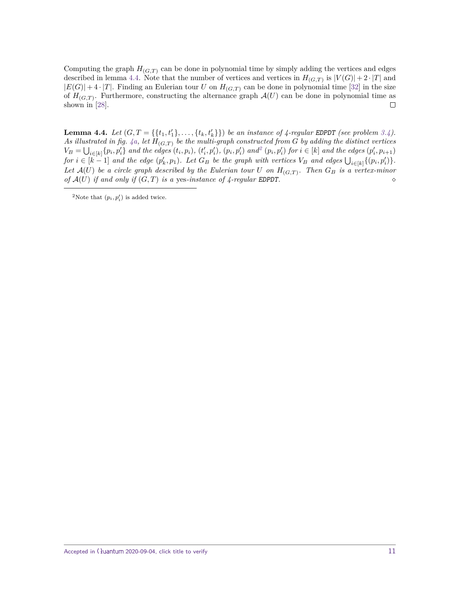Computing the graph  $H_{(G,T)}$  can be done in polynomial time by simply adding the vertices and edges described in lemma [4.4.](#page-10-0) Note that the number of vertices and vertices in  $H_{(G,T)}$  is  $|V(G)|+2 \cdot |T|$  and  $|E(G)| + 4 \cdot |T|$ . Finding an Eulerian tour *U* on  $H_{(G,T)}$  can be done in polynomial time [\[32\]](#page-15-8) in the size of  $H_{(G,T)}$ . Furthermore, constructing the alternance graph  $\mathcal{A}(U)$  can be done in polynomial time as shown in [\[28\]](#page-15-4).  $\Box$ 

<span id="page-10-0"></span>**Lemma 4.4.** Let  $(G, T = \{\{t_1, t'_1\}, \ldots, \{t_k, t'_k\}\})$  be an instance of 4-regular EDPDT (see problem [3.4\)](#page-8-1). As illustrated in fig.  $4a$ , let  $H_{(G,T)}$  be the multi-graph constructed from G by adding the distinct vertices  $V_B = \bigcup_{i \in [k]} \{p_i, p'_i\}$  and the edges  $(t_i, p_i)$ ,  $(t'_i, p'_i)$ ,  $(p_i, p'_i)$  and  $(p_i, p'_i)$  for  $i \in [k]$  and the edges  $(p'_i, p_{i+1})$ for  $i \in [k-1]$  and the edge  $(p'_k, p_1)$ . Let  $G_B$  be the graph with vertices  $V_B$  and edges  $\bigcup_{i \in [k]} \{(p_i, p'_i)\}.$ *Let*  $\mathcal{A}(U)$  *be a circle graph described by the Eulerian tour U on*  $H_{(G,T)}$ *. Then*  $G_B$  *is a vertex-minor of*  $\mathcal{A}(U)$  *if and only if*  $(G, T)$  *is a yes-instance of 4-regular EDPDT.* 

<span id="page-10-1"></span><sup>&</sup>lt;sup>2</sup>Note that  $(p_i, p'_i)$  is added twice.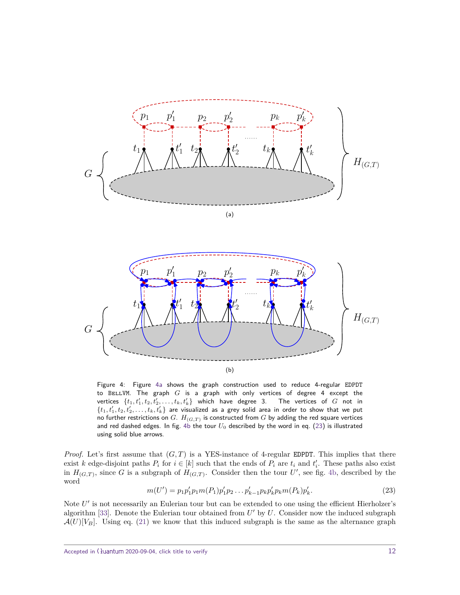<span id="page-11-0"></span>



Figure 4: Figure [4a](#page-11-0) shows the graph construction used to reduce 4-regular EDPDT to BellVM. The graph *G* is a graph with only vertices of degree 4 except the  $\mathsf{vertices} \ \ \{t_1, t'_1, t_2, t'_2, \ldots, t_k, t'_k\}$  which have degree 3. The vertices of  $G$  not in  $\{t_1,t'_1,t_2,t'_2,\ldots,t_k,t'_k\}$  are visualized as a grey solid area in order to show that we put no further restrictions on *G*.  $H_{(G,T)}$  is constructed from *G* by adding the red square vertices and red dashed edges. In fig. [4b](#page-11-0) the tour *U*<sup>0</sup> described by the word in eq. [\(23\)](#page-11-1) is illustrated using solid blue arrows.

*Proof.* Let's first assume that  $(G, T)$  is a YES-instance of 4-regular EDPDT. This implies that there exist *k* edge-disjoint paths  $P_i$  for  $i \in [k]$  such that the ends of  $P_i$  are  $t_i$  and  $t'_i$ . These paths also exist in  $H_{(G,T)}$ , since *G* is a subgraph of  $H_{(G,T)}$ . Consider then the tour *U'*, see fig. [4b,](#page-11-0) described by the word

<span id="page-11-1"></span>
$$
m(U') = p_1 p_1' p_1 m(P_1) p_1' p_2 \dots p_{k-1}' p_k p_k' p_k m(P_k) p_k'.
$$
\n
$$
(23)
$$

Note U' is not necessarily an Eulerian tour but can be extended to one using the efficient Hierholzer's algorithm [\[33\]](#page-15-9). Denote the Eulerian tour obtained from  $U'$  by  $U$ . Consider now the induced subgraph  $\mathcal{A}(U)[V_B]$ . Using eq. [\(21\)](#page-7-3) we know that this induced subgraph is the same as the alternance graph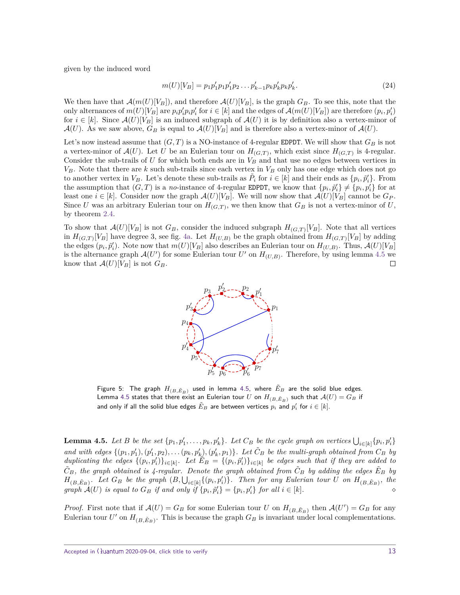given by the induced word

$$
m(U)[V_B] = p_1 p_1' p_1 p_1' p_2 \dots p_{k-1}' p_k p_k' p_k p_k'. \tag{24}
$$

We then have that  $\mathcal{A}(m(U)[V_B])$ , and therefore  $\mathcal{A}(U)[V_B]$ , is the graph  $G_B$ . To see this, note that the only alternances of  $m(U)[V_B]$  are  $p_i p_i' p_i p_i'$  for  $i \in [k]$  and the edges of  $\mathcal{A}(m(U)[V_B])$  are therefore  $(p_i, p_i')$ for  $i \in [k]$ . Since  $\mathcal{A}(U)[V_B]$  is an induced subgraph of  $\mathcal{A}(U)$  it is by definition also a vertex-minor of  $\mathcal{A}(U)$ . As we saw above,  $G_B$  is equal to  $\mathcal{A}(U)[V_B]$  and is therefore also a vertex-minor of  $\mathcal{A}(U)$ .

Let's now instead assume that  $(G, T)$  is a NO-instance of 4-regular EDPDT. We will show that  $G_B$  is not a vertex-minor of  $\mathcal{A}(U)$ . Let *U* be an Eulerian tour on  $H_{(G,T)}$ , which exist since  $H_{(G,T)}$  is 4-regular. Consider the sub-trails of  $U$  for which both ends are in  $V_B$  and that use no edges between vertices in  $V_B$ . Note that there are *k* such sub-trails since each vertex in  $V_B$  only has one edge which does not go to another vertex in  $V_B$ . Let's denote these sub-trails as  $\tilde{P}_i$  for  $i \in [k]$  and their ends as  $\{p_i, \tilde{p}'_i\}$ . From the assumption that  $(G, T)$  is a *no*-instance of 4-regular EDPDT, we know that  $\{p_i, \tilde{p}'_i\} \neq \{p_i, p'_i\}$  for at least one  $i \in [k]$ . Consider now the graph  $\mathcal{A}(U)[V_B]$ . We will now show that  $\mathcal{A}(U)[V_B]$  cannot be  $G_P$ . Since *U* was an arbitrary Eulerian tour on  $H_{(G,T)}$ , we then know that  $G_B$  is not a vertex-minor of *U*, by theorem [2.4.](#page-7-2)

To show that  $\mathcal{A}(U)[V_B]$  is not  $G_B$ , consider the induced subgraph  $H_{(G,T)}[V_B]$ . Note that all vertices in  $H_{(G,T)}[V_B]$  have degree 3, see fig. [4a.](#page-11-0) Let  $H_{(U,B)}$  be the graph obtained from  $H_{(G,T)}[V_B]$  by adding the edges  $(p_i, \tilde{p}'_i)$ . Note now that  $m(U)[V_B]$  also describes an Eulerian tour on  $H_{(U,B)}$ . Thus,  $\mathcal{A}(U)[V_B]$ is the alternance graph  $\mathcal{A}(U')$  for some Eulerian tour  $U'$  on  $H_{(U,B)}$ . Therefore, by using lemma [4.5](#page-12-0) we know that  $\mathcal{A}(U)[V_B]$  is not  $G_B$ .  $\Box$ 



Figure 5: The graph  $H_{(B, \tilde{E}_B)}$  used in lemma [4.5,](#page-12-0) where  $\tilde{E}_B$  are the solid blue edges. Lemma [4.5](#page-12-0) states that there exist an Eulerian tour  $U$  on  $H_{(B, \tilde{E}_B)}$  such that  $\mathcal{A}(U) = G_B$  if and only if all the solid blue edges  $\tilde{E}_B$  are between vertices  $p_i$  and  $p_i'$  for  $i \in [k].$ 

<span id="page-12-0"></span>**Lemma 4.5.** Let B be the set  $\{p_1, p'_1, \ldots, p_k, p'_k\}$ . Let  $C_B$  be the cycle graph on vertices  $\bigcup_{i \in [k]} \{p_i, p'_i\}$ and with edges  $\{(p_1, p'_1), (p'_1, p_2), \ldots (p_k, p'_k), (p'_k, p_1)\}\$ . Let  $\tilde{C}_B$  be the multi-graph obtained from  $C_B$  by duplicating the edges  $\{(p_i, p'_i)\}_{i \in [k]}$ . Let  $E_B = \{(p_i, \tilde{p}'_i)\}_{i \in [k]}$  be edges such that if they are added to  $\tilde{C}_B$ , the graph obtained is 4-regular. Denote the graph obtained from  $\tilde{C}_B$  by adding the edges  $\tilde{E}_B$  by  $H_{(B, \tilde{E}_B)}$ . Let  $G_B$  be the graph  $(B, \bigcup_{i \in [k]} \{(p_i, p'_i)\})$ . Then for any Eulerian tour U on  $H_{(B, \tilde{E}_B)}$ , the *graph*  $\mathcal{A}(U)$  *is equal to*  $G_B$  *if and only if*  $\{p_i, \tilde{p}'_i\} = \{p_i, p'_i\}$  *for all*  $i \in [k]$ *.*  $\diamond$ 

*Proof.* First note that if  $\mathcal{A}(U) = G_B$  for some Eulerian tour *U* on  $H_{(B, \tilde{E}_B)}$  then  $\mathcal{A}(U') = G_B$  for any Eulerian tour  $U'$  on  $H_{(B, \tilde{E}_B)}$ . This is because the graph  $G_B$  is invariant under local complementations.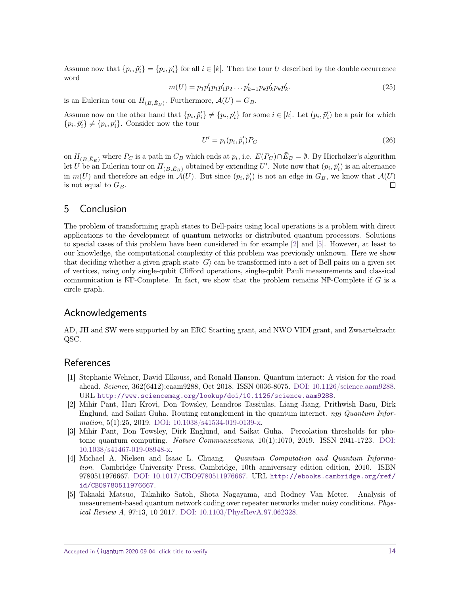Assume now that  $\{p_i, \tilde{p}'_i\} = \{p_i, p'_i\}$  for all  $i \in [k]$ . Then the tour *U* described by the double occurrence word

$$
m(U) = p_1 p_1' p_1 p_1' p_2 \dots p_{k-1}' p_k p_k' p_k p_k'.
$$
\n(25)

is an Eulerian tour on  $H_{(B,\tilde{E}_B)}$ . Furthermore,  $\mathcal{A}(U) = G_B$ .

Assume now on the other hand that  $\{p_i, \tilde{p}_i'\}\neq \{p_i, p_i'\}$  for some  $i \in [k]$ . Let  $(p_i, \tilde{p}_i')$  be a pair for which  $\{p_i, \tilde{p}'_i\} \neq \{p_i, p'_i\}$ . Consider now the tour

$$
U' = p_i(p_i, \tilde{p}'_i)P_C \tag{26}
$$

on  $H_{(B, \tilde{E}_B)}$  where  $P_C$  is a path in  $C_B$  which ends at  $p_i$ , i.e.  $E(P_C) \cap \tilde{E}_B = \emptyset$ . By Hierholzer's algorithm let *U* be an Eulerian tour on  $H_{(B, \tilde{E}_B)}$  obtained by extending *U'*. Note now that  $(p_i, \tilde{p}'_i)$  is an alternance in  $m(U)$  and therefore an edge in  $\mathcal{A}(U)$ . But since  $(p_i, \tilde{p}'_i)$  is not an edge in  $G_B$ , we know that  $\mathcal{A}(U)$ is not equal to  $G_B$ .  $\Box$ 

## <span id="page-13-5"></span>5 Conclusion

The problem of transforming graph states to Bell-pairs using local operations is a problem with direct applications to the development of quantum networks or distributed quantum processors. Solutions to special cases of this problem have been considered in for example [\[2\]](#page-13-1) and [\[5\]](#page-13-4). However, at least to our knowledge, the computational complexity of this problem was previously unknown. Here we show that deciding whether a given graph state  $|G\rangle$  can be transformed into a set of Bell pairs on a given set of vertices, using only single-qubit Clifford operations, single-qubit Pauli measurements and classical communication is NP-Complete. In fact, we show that the problem remains NP-Complete if *G* is a circle graph.

### Acknowledgements

AD, JH and SW were supported by an ERC Starting grant, and NWO VIDI grant, and Zwaartekracht QSC.

## References

- <span id="page-13-0"></span>[1] Stephanie Wehner, David Elkouss, and Ronald Hanson. Quantum internet: A vision for the road ahead. Science, 362(6412):eaam9288, Oct 2018. ISSN 0036-8075. [DOI: 10.1126/science.aam9288.](https://doi.org/10.1126/science.aam9288) URL [http://www.sciencemag.org/lookup/doi/10.1126/science.aam9288](http://www.sciencemag.org/lookup/doi/10.1126/ science.aam9288).
- <span id="page-13-1"></span>[2] Mihir Pant, Hari Krovi, Don Towsley, Leandros Tassiulas, Liang Jiang, Prithwish Basu, Dirk Englund, and Saikat Guha. Routing entanglement in the quantum internet. npj Quantum Infor-mation, 5(1):25, 2019. [DOI: 10.1038/s41534-019-0139-x.](https://doi.org/10.1038/s41534-019-0139-x)
- <span id="page-13-2"></span>[3] Mihir Pant, Don Towsley, Dirk Englund, and Saikat Guha. Percolation thresholds for pho-tonic quantum computing. Nature Communications, 10(1):1070, 2019. ISSN 2041-1723. [DOI:](https://doi.org/10.1038/s41467-019-08948-x) [10.1038/s41467-019-08948-x.](https://doi.org/10.1038/s41467-019-08948-x)
- <span id="page-13-3"></span>[4] Michael A. Nielsen and Isaac L. Chuang. Quantum Computation and Quantum Information. Cambridge University Press, Cambridge, 10th anniversary edition edition, 2010. ISBN 9780511976667. [DOI: 10.1017/CBO9780511976667.](https://doi.org/10.1017/CBO9780511976667) URL [http://ebooks.cambridge.org/ref/](http://ebooks.cambridge.org/ref/id/CBO9780511976667) [id/CBO9780511976667](http://ebooks.cambridge.org/ref/id/CBO9780511976667).
- <span id="page-13-4"></span>[5] Takaaki Matsuo, Takahiko Satoh, Shota Nagayama, and Rodney Van Meter. Analysis of measurement-based quantum network coding over repeater networks under noisy conditions. Physical Review A, 97:13, 10 2017. [DOI: 10.1103/PhysRevA.97.062328.](https://doi.org/10.1103/PhysRevA.97.062328)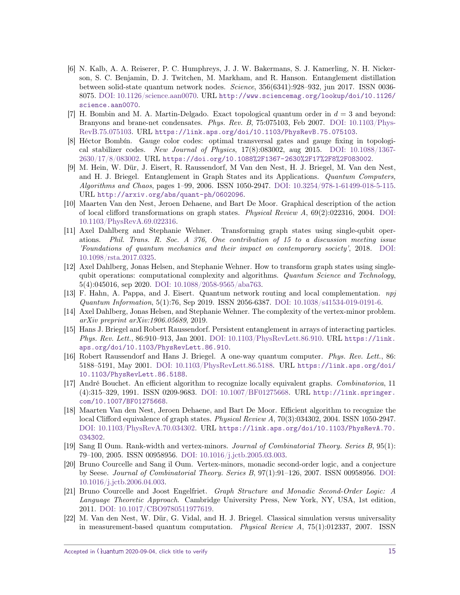- <span id="page-14-0"></span>[6] N. Kalb, A. A. Reiserer, P. C. Humphreys, J. J. W. Bakermans, S. J. Kamerling, N. H. Nickerson, S. C. Benjamin, D. J. Twitchen, M. Markham, and R. Hanson. Entanglement distillation between solid-state quantum network nodes. Science, 356(6341):928–932, jun 2017. ISSN 0036- 8075. [DOI: 10.1126/science.aan0070.](https://doi.org/10.1126/science.aan0070) URL [http://www.sciencemag.org/lookup/doi/10.1126/](http://www.sciencemag.org/lookup/doi/10.1126/ science.aan0070) [science.aan0070](http://www.sciencemag.org/lookup/doi/10.1126/ science.aan0070).
- <span id="page-14-1"></span>[7] H. Bombin and M. A. Martin-Delgado. Exact topological quantum order in *d* = 3 and beyond: Branyons and brane-net condensates. Phys. Rev. B, 75:075103, Feb 2007. DOI:  $10.1103$ /Phys-[RevB.75.075103.](https://doi.org/10.1103/PhysRevB.75.075103) URL <https://link.aps.org/doi/10.1103/PhysRevB.75.075103>.
- <span id="page-14-2"></span>[8] Héctor Bombín. Gauge color codes: optimal transversal gates and gauge fixing in topological stabilizer codes. New Journal of Physics,  $17(8)$ :083002, aug 2015. [DOI: 10.1088/1367-](https://doi.org/10.1088/1367-2630/17/8/083002) [2630/17/8/083002.](https://doi.org/10.1088/1367-2630/17/8/083002) URL <https://doi.org/10.1088%2F1367-2630%2F17%2F8%2F083002>.
- <span id="page-14-3"></span>[9] M. Hein, W. Dür, J. Eisert, R. Raussendorf, M Van den Nest, H. J. Briegel, M. Van den Nest, and H. J. Briegel. Entanglement in Graph States and its Applications. Quantum Computers, Algorithms and Chaos, pages 1–99, 2006. ISSN 1050-2947. [DOI: 10.3254/978-1-61499-018-5-115.](https://doi.org/10.3254/978-1-61499-018-5-115) URL <http://arxiv.org/abs/quant-ph/0602096>.
- <span id="page-14-7"></span>[10] Maarten Van den Nest, Jeroen Dehaene, and Bart De Moor. Graphical description of the action of local clifford transformations on graph states. Physical Review  $A$ , 69(2):022316, 2004. [DOI:](https://doi.org/10.1103/PhysRevA.69.022316) [10.1103/PhysRevA.69.022316.](https://doi.org/10.1103/PhysRevA.69.022316)
- <span id="page-14-10"></span>[11] Axel Dahlberg and Stephanie Wehner. Transforming graph states using single-qubit operations. Phil. Trans. R. Soc. A 376, One contribution of 15 to a discussion meeting issue 'Foundations of quantum mechanics and their impact on contemporary society', 2018. [DOI:](https://doi.org/10.1098/rsta.2017.0325) [10.1098/rsta.2017.0325.](https://doi.org/10.1098/rsta.2017.0325)
- <span id="page-14-13"></span>[12] Axel Dahlberg, Jonas Helsen, and Stephanie Wehner. How to transform graph states using singlequbit operations: computational complexity and algorithms. Quantum Science and Technology, 5(4):045016, sep 2020. [DOI: 10.1088/2058-9565/aba763.](https://doi.org/10.1088/2058-9565/aba763)
- [13] F. Hahn, A. Pappa, and J. Eisert. Quantum network routing and local complementation. npj Quantum Information, 5(1):76, Sep 2019. ISSN 2056-6387. [DOI: 10.1038/s41534-019-0191-6.](https://doi.org/10.1038/s41534-019-0191-6)
- <span id="page-14-4"></span>[14] Axel Dahlberg, Jonas Helsen, and Stephanie Wehner. The complexity of the vertex-minor problem. arXiv preprint arXiv:1906.05689, 2019.
- <span id="page-14-5"></span>[15] Hans J. Briegel and Robert Raussendorf. Persistent entanglement in arrays of interacting particles. Phys. Rev. Lett., 86:910–913, Jan 2001. [DOI: 10.1103/PhysRevLett.86.910.](https://doi.org/10.1103/PhysRevLett.86.910) URL [https://link.](https://link.aps.org/doi/10.1103/PhysRevLett.86.910) [aps.org/doi/10.1103/PhysRevLett.86.910](https://link.aps.org/doi/10.1103/PhysRevLett.86.910).
- <span id="page-14-6"></span>[16] Robert Raussendorf and Hans J. Briegel. A one-way quantum computer. Phys. Rev. Lett., 86: 5188–5191, May 2001. [DOI: 10.1103/PhysRevLett.86.5188.](https://doi.org/10.1103/PhysRevLett.86.5188) URL [https://link.aps.org/doi/](https://link.aps.org/doi/10.1103/PhysRevLett.86.5188) [10.1103/PhysRevLett.86.5188](https://link.aps.org/doi/10.1103/PhysRevLett.86.5188).
- <span id="page-14-8"></span>[17] André Bouchet. An efficient algorithm to recognize locally equivalent graphs. Combinatorica, 11 (4):315–329, 1991. ISSN 0209-9683. [DOI: 10.1007/BF01275668.](https://doi.org/10.1007/BF01275668) URL [http://link.springer.](http://link.springer.com/10.1007/BF01275668) [com/10.1007/BF01275668](http://link.springer.com/10.1007/BF01275668).
- <span id="page-14-9"></span>[18] Maarten Van den Nest, Jeroen Dehaene, and Bart De Moor. Efficient algorithm to recognize the local Clifford equivalence of graph states. *Physical Review A*, 70(3):034302, 2004. ISSN 1050-2947. [DOI: 10.1103/PhysRevA.70.034302.](https://doi.org/10.1103/PhysRevA.70.034302) URL [https://link.aps.org/doi/10.1103/PhysRevA.70.](https://link.aps.org/doi/10.1103/PhysRevA.70.034302) [034302](https://link.aps.org/doi/10.1103/PhysRevA.70.034302).
- <span id="page-14-11"></span>[19] Sang Il Oum. Rank-width and vertex-minors. Journal of Combinatorial Theory. Series B, 95(1): 79–100, 2005. ISSN 00958956. [DOI: 10.1016/j.jctb.2005.03.003.](https://doi.org/10.1016/j.jctb.2005.03.003)
- <span id="page-14-12"></span>[20] Bruno Courcelle and Sang il Oum. Vertex-minors, monadic second-order logic, and a conjecture by Seese. Journal of Combinatorial Theory. Series B, 97(1):91–126, 2007. ISSN 00958956. [DOI:](https://doi.org/10.1016/j.jctb.2006.04.003) [10.1016/j.jctb.2006.04.003.](https://doi.org/10.1016/j.jctb.2006.04.003)
- <span id="page-14-14"></span>[21] Bruno Courcelle and Joost Engelfriet. Graph Structure and Monadic Second-Order Logic: A Language Theoretic Approach. Cambridge University Press, New York, NY, USA, 1st edition, 2011. [DOI: 10.1017/CBO9780511977619.](https://doi.org/10.1017/CBO9780511977619)
- <span id="page-14-15"></span>[22] M. Van den Nest, W. Dür, G. Vidal, and H. J. Briegel. Classical simulation versus universality in measurement-based quantum computation. *Physical Review A*,  $75(1):012337, 2007$ . ISSN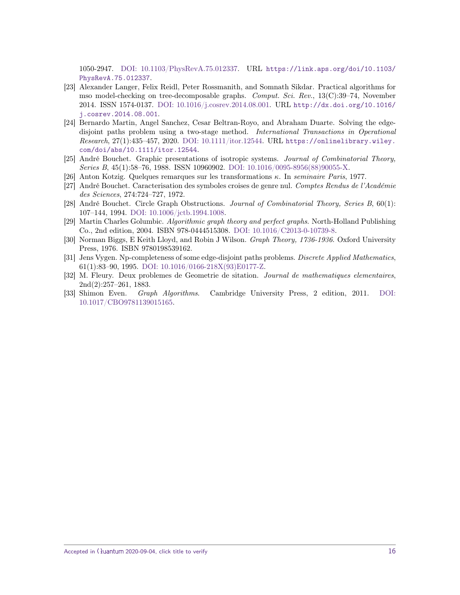1050-2947. [DOI: 10.1103/PhysRevA.75.012337.](https://doi.org/10.1103/PhysRevA.75.012337) URL [https://link.aps.org/doi/10.1103/](https://link.aps.org/doi/10.1103/PhysRevA.75.012337) [PhysRevA.75.012337](https://link.aps.org/doi/10.1103/PhysRevA.75.012337).

- <span id="page-15-0"></span>[23] Alexander Langer, Felix Reidl, Peter Rossmanith, and Somnath Sikdar. Practical algorithms for mso model-checking on tree-decomposable graphs. Comput. Sci. Rev., 13(C):39–74, November 2014. ISSN 1574-0137. [DOI: 10.1016/j.cosrev.2014.08.001.](https://doi.org/10.1016/j.cosrev.2014.08.001) URL [http://dx.doi.org/10.1016/](http://dx.doi.org/10.1016/j.cosrev.2014.08.001) [j.cosrev.2014.08.001](http://dx.doi.org/10.1016/j.cosrev.2014.08.001).
- <span id="page-15-1"></span>[24] Bernardo Martin, Angel Sanchez, Cesar Beltran-Royo, and Abraham Duarte. Solving the edgedisjoint paths problem using a two-stage method. International Transactions in Operational Research, 27(1):435–457, 2020. [DOI: 10.1111/itor.12544.](https://doi.org/10.1111/itor.12544) URL [https://onlinelibrary.wiley.](https://onlinelibrary.wiley.com/doi/abs/10.1111/itor.12544) [com/doi/abs/10.1111/itor.12544](https://onlinelibrary.wiley.com/doi/abs/10.1111/itor.12544).
- <span id="page-15-2"></span>[25] André Bouchet. Graphic presentations of isotropic systems. Journal of Combinatorial Theory, Series B, 45(1):58–76, 1988. ISSN 10960902. [DOI: 10.1016/0095-8956\(88\)90055-X.](https://doi.org/10.1016/0095-8956(88)90055-X)
- <span id="page-15-3"></span>[26] Anton Kotzig. Quelques remarques sur les transformations *κ*. In seminaire Paris, 1977.
- [27] André Bouchet. Caracterisation des symboles croises de genre nul. Comptes Rendus de l'Académie des Sciences, 274:724–727, 1972.
- <span id="page-15-4"></span>[28] André Bouchet. Circle Graph Obstructions. Journal of Combinatorial Theory, Series B, 60(1): 107–144, 1994. [DOI: 10.1006/jctb.1994.1008.](https://doi.org/10.1006/jctb.1994.1008)
- <span id="page-15-5"></span>[29] Martin Charles Golumbic. Algorithmic graph theory and perfect graphs. North-Holland Publishing Co., 2nd edition, 2004. ISBN 978-0444515308. [DOI: 10.1016/C2013-0-10739-8.](https://doi.org/10.1016/C2013-0-10739-8)
- <span id="page-15-6"></span>[30] Norman Biggs, E Keith Lloyd, and Robin J Wilson. Graph Theory, 1736-1936. Oxford University Press, 1976. ISBN 9780198539162.
- <span id="page-15-7"></span>[31] Jens Vygen. Np-completeness of some edge-disjoint paths problems. *Discrete Applied Mathematics*, 61(1):83–90, 1995. [DOI: 10.1016/0166-218X\(93\)E0177-Z.](https://doi.org/10.1016/0166-218X(93)E0177-Z)
- <span id="page-15-8"></span>[32] M. Fleury. Deux problemes de Geometrie de sitation. Journal de mathematiques elementaires, 2nd(2):257–261, 1883.
- <span id="page-15-9"></span>[33] Shimon Even. Graph Algorithms. Cambridge University Press, 2 edition, 2011. [DOI:](https://doi.org/10.1017/CBO9781139015165) [10.1017/CBO9781139015165.](https://doi.org/10.1017/CBO9781139015165)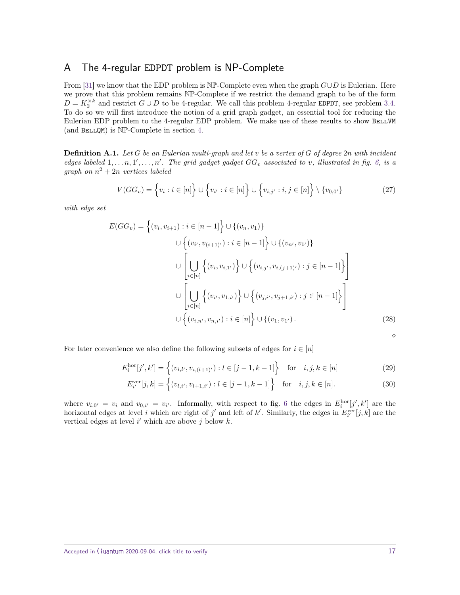## <span id="page-16-0"></span>A The 4-regular EDPDT problem is NP-Complete

From [\[31\]](#page-15-7) we know that the EDP problem is NP-Complete even when the graph *G*∪*D* is Eulerian. Here we prove that this problem remains NP-Complete if we restrict the demand graph to be of the form  $D = K_2^{\times k}$  and restrict  $G \cup D$  to be 4-regular. We call this problem 4-regular EDPDT, see problem [3.4.](#page-8-1) To do so we will first introduce the notion of a grid graph gadget, an essential tool for reducing the Eulerian EDP problem to the 4-regular EDP problem. We make use of these results to show BELLVM (and  $BELLQM$ ) is  $NP-Complete$  in section [4.](#page-9-0)

<span id="page-16-1"></span>**Definition A.1.** *Let G be an Eulerian multi-graph and let v be a vertex of G of degree* 2*n with incident edges labeled*  $1, \ldots, n, 1', \ldots, n'$ . The grid gadget gadget  $GG_v$  associated to v, illustrated in fig. [6,](#page-17-0) is a *graph on*  $n^2 + 2n$  *vertices labeled* 

$$
V(GG_v) = \left\{ v_i : i \in [n] \right\} \cup \left\{ v_{i'} : i \in [n] \right\} \cup \left\{ v_{i,j'} : i,j \in [n] \right\} \setminus \left\{ v_{0,0'} \right\}
$$
 (27)

*with edge set*

$$
E(GG_v) = \left\{ (v_i, v_{i+1}) : i \in [n-1] \right\} \cup \left\{ (v_n, v_1) \right\}
$$
  

$$
\cup \left\{ (v_{i'}, v_{(i+1)'}) : i \in [n-1] \right\} \cup \left\{ (v_{n'}, v_{1'}) \right\}
$$
  

$$
\cup \left[ \bigcup_{i \in [n]} \left\{ (v_i, v_{i,1'}) \right\} \cup \left\{ (v_{i,j'}, v_{i,(j+1)'}) : j \in [n-1] \right\} \right]
$$
  

$$
\cup \left[ \bigcup_{i \in [n]} \left\{ (v_{i'}, v_{1,i'}) \right\} \cup \left\{ (v_{j,i'}, v_{j+1,i'}) : j \in [n-1] \right\} \right]
$$
  

$$
\cup \left\{ (v_{i,n'}, v_{n,i'}) : i \in [n] \right\} \cup \left\{ (v_1, v_{1'}) .
$$
 (28)

<span id="page-16-3"></span><span id="page-16-2"></span> $\Diamond$ 

For later convenience we also define the following subsets of edges for  $i \in [n]$ 

$$
E_i^{\text{hor}}[j', k'] = \left\{ (v_{i,l'}, v_{i,(l+1)'}) : l \in [j-1, k-1] \right\} \text{ for } i, j, k \in [n]
$$
 (29)

$$
E_{i'}^{\text{ver}}[j,k] = \left\{ (v_{l,i'}, v_{l+1,i'}) : l \in [j-1,k-1] \right\} \text{ for } i, j, k \in [n].
$$
 (30)

where  $v_{i,0'} = v_i$  and  $v_{0,i'} = v_{i'}$ . Informally, with respect to fig. [6](#page-17-0) the edges in  $E_i^{\text{hor}}[j',k']$  are the horizontal edges at level *i* which are right of *j'* and left of *k'*. Similarly, the edges in  $E_{i'}^{\text{ver}}[j,k]$  are the vertical edges at level  $i'$  which are above  $j$  below  $k$ .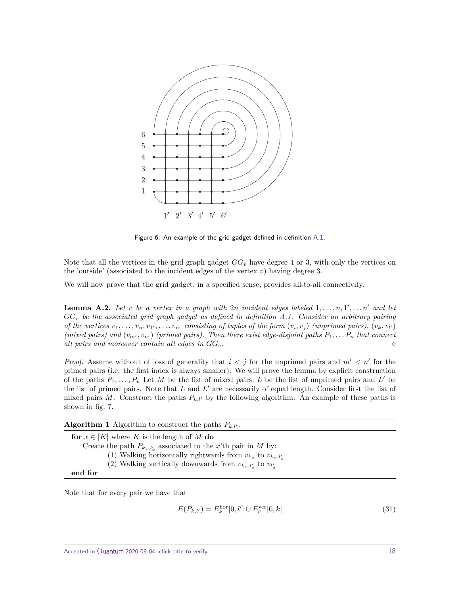<span id="page-17-0"></span>

Figure 6: An example of the grid gadget defined in definition [A.1.](#page-16-1)

Note that all the vertices in the grid graph gadget  $GG_v$  have degree 4 or 3, with only the vertices on the 'outside' (associated to the incident edges of the vertex *v*) having degree 3.

We will now prove that the grid gadget, in a specified sense, provides all-to-all connectivity.

<span id="page-17-2"></span>**Lemma A.2.** Let *v* be a vertex in a graph with  $2n$  incident edges labeled  $1, \ldots, n, 1', \ldots n'$  and let *GG<sup>v</sup> be the associated grid graph gadget as defined in definition [A.1.](#page-16-1) Consider an arbitrary pairing* of the vertices  $v_1, \ldots, v_n, v_{1'}, \ldots, v_{n'}$  consisting of tuples of the form  $(v_i, v_j)$  (unprimed pairs),  $(v_k, v_{l'})$ *(mixed pairs) and*  $(v_m, v_n)$  *(primed pairs). Then there exist edge-disjoint paths*  $P_1, \ldots, P_n$  *that connect all pairs and moreover contain all edges in GGv.*

*Proof.* Assume without of loss of generality that  $i < j$  for the unprimed pairs and  $m' < n'$  for the primed pairs (i.e. the first index is always smaller). We will prove the lemma by explicit construction of the paths  $P_1, \ldots, P_n$  Let M be the list of mixed pairs, L be the list of unprimed pairs and L' be the list of primed pairs. Note that  $L$  and  $L'$  are necessarily of equal length. Consider first the list of mixed pairs *M*. Construct the paths  $P_{k,l'}$  by the following algorithm. An example of these paths is shown in fig. [7.](#page-18-0)

<span id="page-17-1"></span>

| <b>Algorithm 1</b> Algorithm to construct the paths $P_{k,l'}$ .     |
|----------------------------------------------------------------------|
| for $x \in [K]$ where K is the length of M do                        |
| Create the path $P_{k_x, l'_x}$ associated to the x'th pair in M by: |
| (1) Walking horizontally rightwards from $v_{k_x}$ to $v_{k_x,l'_x}$ |
| (2) Walking vertically downwards from $v_{k_x, l'_x}$ to $v_{l'_x}$  |
| end for                                                              |
|                                                                      |

Note that for every pair we have that

$$
E(P_{k,l'}) = E_k^{\text{hor}}[0,l'] \cup E_{l'}^{\text{ver}}[0,k]
$$
\n(31)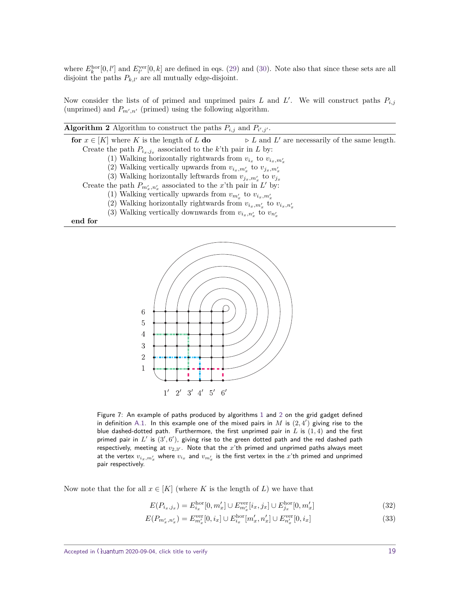where  $E_k^{\text{hor}}[0, l']$  and  $E_{l'}^{\text{ver}}[0, k]$  are defined in eqs. [\(29\)](#page-16-2) and [\(30\)](#page-16-3). Note also that since these sets are all disjoint the paths  $P_{k,l'}$  are all mutually edge-disjoint.

Now consider the lists of of primed and unprimed pairs *L* and *L'*. We will construct paths  $P_{i,j}$ (unprimed) and  $P_{m',n'}$  (primed) using the following algorithm.

<span id="page-18-1"></span>

| <b>Algorithm 2</b> Algorithm to construct the paths $P_{i,j}$ and $P_{i',j'}$ . |                                                               |  |
|---------------------------------------------------------------------------------|---------------------------------------------------------------|--|
| for $x \in [K]$ where K is the length of L do                                   | $\triangleright$ L and L' are necessarily of the same length. |  |
| Create the path $P_{i_x,i_x}$ associated to the k'th pair in L by:              |                                                               |  |
| (1) Walking horizontally rightwards from $v_{i_x}$ to $v_{i_x,m'_x}$            |                                                               |  |
| (2) Walking vertically upwards from $v_{i_x,m'_x}$ to $v_{j_x,m'_x}$            |                                                               |  |
| (3) Walking horizontally leftwards from $v_{i_x,m'_x}$ to $v_{i_x}$             |                                                               |  |
| Create the path $P_{m'_n,n'_n}$ associated to the x'th pair in L' by:           |                                                               |  |
| (1) Walking vertically upwards from $v_{m'_x}$ to $v_{i_x,m'_x}$                |                                                               |  |
| (2) Walking horizontally rightwards from $v_{i_x,m'_x}$ to $v_{i_x,n'_x}$       |                                                               |  |
| (3) Walking vertically downwards from $v_{i_r,n'_r}$ to $v_{n'_r}$              |                                                               |  |
| end for                                                                         |                                                               |  |

<span id="page-18-0"></span>

Figure 7: An example of paths produced by algorithms [1](#page-17-1) and [2](#page-18-1) on the grid gadget defined in definition [A.1.](#page-16-1) In this example one of the mixed pairs in  $M$  is  $(2,4')$  giving rise to the blue dashed-dotted path. Furthermore, the first unprimed pair in *L* is (1*,* 4) and the first primed pair in  $L'$  is  $(3', 6')$ , giving rise to the green dotted path and the red dashed path respectively, meeting at  $v_{2,3'}$ . Note that the  $x'$ th primed and unprimed paths always meet at the vertex  $v_{i_x,m'_x}$  where  $v_{i_x}$  and  $v_{m'_x}$  is the first vertex in the  $x$ 'th primed and unprimed pair respectively.

Now note that the for all  $x \in [K]$  (where K is the length of L) we have that

$$
E(P_{i_x,j_x}) = E_{i_x}^{\text{hor}}[0, m'_x] \cup E_{m'_x}^{\text{ver}}[i_x, j_x] \cup E_{j_x}^{\text{hor}}[0, m'_x]
$$
(32)

$$
E(P_{m'_x,n'_x}) = E_{m'_x}^{\text{ver}}[0, i_x] \cup E_{i_x}^{\text{hor}}[m'_x, n'_x] \cup E_{n'_x}^{\text{ver}}[0, i_x]
$$
(33)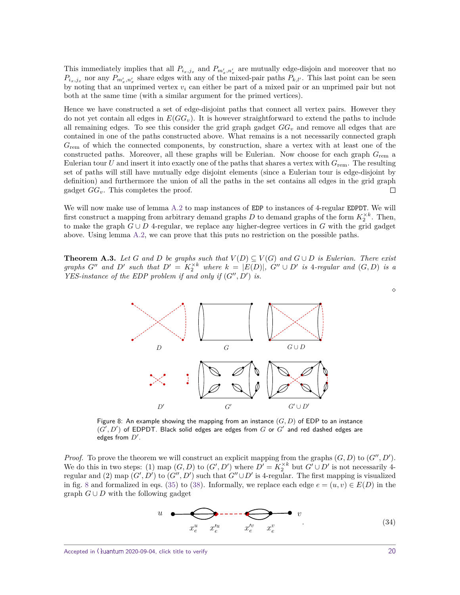This immediately implies that all  $P_{i_x,j_x}$  and  $P_{m'_x,n'_x}$  are mutually edge-disjoin and moreover that no  $P_{i_x,j_x}$  nor any  $P_{m'_x,n'_x}$  share edges with any of the mixed-pair paths  $P_{k,l'}$ . This last point can be seen by noting that an unprimed vertex *v<sup>i</sup>* can either be part of a mixed pair or an unprimed pair but not both at the same time (with a similar argument for the primed vertices).

Hence we have constructed a set of edge-disjoint paths that connect all vertex pairs. However they do not yet contain all edges in  $E(GG_v)$ . It is however straightforward to extend the paths to include all remaining edges. To see this consider the grid graph gadget *GG<sup>v</sup>* and remove all edges that are contained in one of the paths constructed above. What remains is a not necessarily connected graph *G*rem of which the connected components, by construction, share a vertex with at least one of the constructed paths. Moreover, all these graphs will be Eulerian. Now choose for each graph *G*rem a Eulerian tour  $U$  and insert it into exactly one of the paths that shares a vertex with  $G_{\text{rem}}$ . The resulting set of paths will still have mutually edge disjoint elements (since a Eulerian tour is edge-disjoint by definition) and furthermore the union of all the paths in the set contains all edges in the grid graph gadget *GGv*. This completes the proof.  $\Box$ 

We will now make use of lemma [A.2](#page-17-2) to map instances of EDP to instances of 4-regular EDPDT. We will first construct a mapping from arbitrary demand graphs  $D$  to demand graphs of the form  $K_2^{\times k}$ . Then, to make the graph *G* ∪ *D* 4-regular, we replace any higher-degree vertices in *G* with the grid gadget above. Using lemma [A.2,](#page-17-2) we can prove that this puts no restriction on the possible paths.

<span id="page-19-1"></span><span id="page-19-0"></span>**Theorem A.3.** Let G and D be graphs such that  $V(D) \subseteq V(G)$  and  $G \cup D$  is Eulerian. There exist graphs G" and D' such that  $D' = K_2^{\times k}$  where  $k = |E(D)|$ , G"  $\cup$  D' is 4-regular and  $(G, D)$  is a *YES-instance of the EDP problem if and only if*  $(G'', D')$  *is.* 



Figure 8: An example showing the mapping from an instance  $(G, D)$  of EDP to an instance  $(G', D')$  of EDPDT. Black solid edges are edges from  $G$  or  $G'$  and red dashed edges are edges from  $D'$ .

*Proof.* To prove the theorem we will construct an explicit mapping from the graphs  $(G, D)$  to  $(G'', D')$ . We do this in two steps: (1) map  $(G, D)$  to  $(G', D')$  where  $D' = K_2^{\times k}$  but  $G' \cup D'$  is not necessarily 4regular and (2) map  $(G', D')$  to  $(G'', D')$  such that  $G'' \cup D'$  is 4-regular. The first mapping is visualized in fig. [8](#page-19-1) and formalized in eqs. [\(35\)](#page-20-0) to [\(38\)](#page-20-1). Informally, we replace each edge  $e = (u, v) \in E(D)$  in the graph  $G \cup D$  with the following gadget

<span id="page-19-2"></span>
$$
u \quad \bullet \quad \bullet \quad \bullet \quad \bullet \quad \bullet \quad \bullet \quad v
$$
\n
$$
x_e^u \quad x_e'^v \quad x_e'^v \quad x_e^v \quad \bullet \quad v \tag{34}
$$

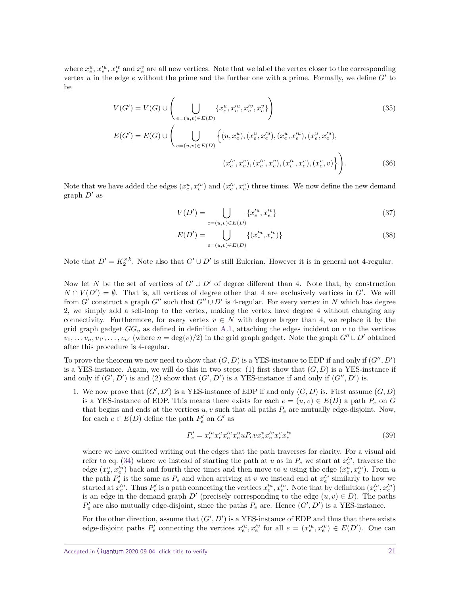where  $x_e^u$ ,  $x_e^{\prime u}$ ,  $x_e^{\prime v}$  and  $x_e^v$  are all new vertices. Note that we label the vertex closer to the corresponding vertex  $u$  in the edge  $e$  without the prime and the further one with a prime. Formally, we define  $G'$  to be

$$
V(G') = V(G) \cup \left(\bigcup_{e=(u,v)\in E(D)} \{x_e^u, x_e'^v, x_e'^v\}\right)
$$
(35)  

$$
E(G') = E(G) \cup \left(\bigcup_{e=(u,v)\in E(D)} \left\{(u, x_e^u), (x_e^u, x_e'^u), (x_e^u, x_e'^u), (x_e^u, x_e'^u), (x_e^u, x_e'^u)\right\}\right)
$$
(36)

Note that we have added the edges  $(x_e^u, x_e^{\prime u})$  and  $(x_e^{\prime v}, x_e^v)$  three times. We now define the new demand graph  $D'$  as

<span id="page-20-0"></span>
$$
V(D') = \bigcup_{e=(u,v)\in E(D)} \{x_e'^u, x_e'^v\}
$$
\n(37)

<span id="page-20-1"></span>
$$
E(D') = \bigcup_{e=(u,v)\in E(D)} \{(x_e^{\prime u}, x_e^{\prime v})\}
$$
\n(38)

Note that  $D' = K_2^{\times k}$ . Note also that  $G' \cup D'$  is still Eulerian. However it is in general not 4-regular.

Now let *N* be the set of vertices of  $G' \cup D'$  of degree different than 4. Note that, by construction  $N \cap V(D') = \emptyset$ . That is, all vertices of degree other that 4 are exclusively vertices in *G'*. We will from *G*<sup> $\prime$ </sup> construct a graph *G*<sup> $\prime\prime$ </sup> such that *G*<sup> $\prime\prime$ </sup>  $\cup$  *D*<sup> $\prime$ </sup> is 4-regular. For every vertex in *N* which has degree 2, we simply add a self-loop to the vertex, making the vertex have degree 4 without changing any connectivity. Furthermore, for every vertex  $v \in N$  with degree larger than 4, we replace it by the grid graph gadget  $GG_v$  as defined in definition [A.1,](#page-16-1) attaching the edges incident on  $v$  to the vertices  $v_1, \ldots v_n, v_1, \ldots, v_{n'}$  (where  $n = \deg(v)/2$ ) in the grid graph gadget. Note the graph  $G'' \cup D'$  obtained after this procedure is 4-regular.

To prove the theorem we now need to show that  $(G, D)$  is a YES-instance to EDP if and only if  $(G'', D')$ is a YES-instance. Again, we will do this in two steps: (1) first show that  $(G, D)$  is a YES-instance if and only if  $(G', D')$  is and (2) show that  $(G', D')$  is a YES-instance if and only if  $(G'', D')$  is.

1. We now prove that  $(G', D')$  is a YES-instance of EDP if and only  $(G, D)$  is. First assume  $(G, D)$ is a YES-instance of EDP. This means there exists for each  $e = (u, v) \in E(D)$  a path  $P_e$  on *G* that begins and ends at the vertices  $u, v$  such that all paths  $P_e$  are mutually edge-disjoint. Now, for each  $e \in E(D)$  define the path  $P'_e$  on  $G'$  as

<span id="page-20-2"></span>
$$
P_e' = x_e'^u x_e^u x_e'^u x_e^u u P_e v x_e^v x_e'^v x_e'^v x_e'^v \tag{39}
$$

where we have omitted writing out the edges that the path traverses for clarity. For a visual aid refer to eq. [\(34\)](#page-19-2) where we instead of starting the path at *u* as in  $P_e$  we start at  $x_e^{\prime u}$ , traverse the edge  $(x_x^u, x_e^{\prime u})$  back and fourth three times and then move to *u* using the edge  $(x_e^u, x_e^{\prime u})$ . From *u* the path  $P_e^i$  is the same as  $P_e$  and when arriving at *v* we instead end at  $x_e^{\prime v}$  similarly to how we started at  $x_e'^u$ . Thus  $P_e'$  is a path connecting the vertices  $x_e'^u, x_e'^u$ . Note that by definition  $(x_e'^u, x_e'^u)$ is an edge in the demand graph  $D'$  (precisely corresponding to the edge  $(u, v) \in D$ ). The paths  $P'_e$  are also mutually edge-disjoint, since the paths  $P_e$  are. Hence  $(G', D')$  is a YES-instance.

For the other direction, assume that  $(G', D')$  is a YES-instance of EDP and thus that there exists edge-disjoint paths  $P'_e$  connecting the vertices  $x_e^{\prime u}, x_e^{\prime v}$  for all  $e = (x_e^{\prime u}, x_e^{\prime v}) \in E(D')$ . One can